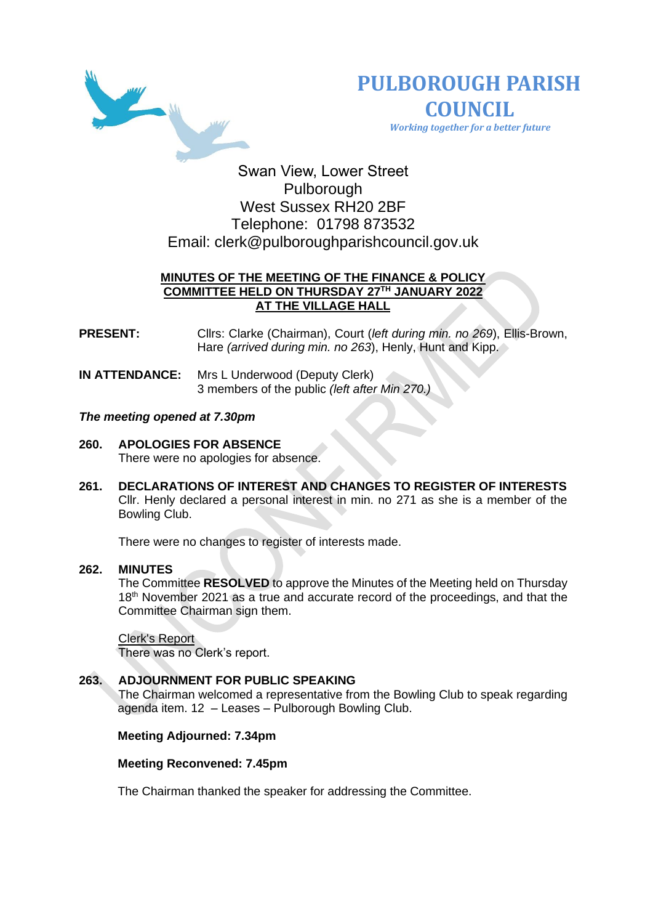



 *Working together for a better future*

# Swan View, Lower Street Pulborough West Sussex RH20 2BF Telephone: 01798 873532 Email: [clerk@pulboroughparishcouncil.gov.uk](mailto:clerk@pulboroughparishcouncil.gov.uk)

# **MINUTES OF THE MEETING OF THE FINANCE & POLICY COMMITTEE HELD ON THURSDAY 27TH JANUARY 2022 AT THE VILLAGE HALL**

**PRESENT:** Cllrs: Clarke (Chairman), Court (*left during min. no 269*), Ellis-Brown, Hare *(arrived during min. no 263*), Henly, Hunt and Kipp.

**IN ATTENDANCE:** Mrs L Underwood (Deputy Clerk) 3 members of the public *(left after Min 270.)*

# *The meeting opened at 7.30pm*

- **260. APOLOGIES FOR ABSENCE**  There were no apologies for absence.
- **261. DECLARATIONS OF INTEREST AND CHANGES TO REGISTER OF INTERESTS** Cllr. Henly declared a personal interest in min. no 271 as she is a member of the Bowling Club.

There were no changes to register of interests made.

#### **262. MINUTES**

The Committee **RESOLVED** to approve the Minutes of the Meeting held on Thursday 18<sup>th</sup> November 2021 as a true and accurate record of the proceedings, and that the Committee Chairman sign them.

#### Clerk's Report

There was no Clerk's report.

# **263. ADJOURNMENT FOR PUBLIC SPEAKING**

The Chairman welcomed a representative from the Bowling Club to speak regarding agenda item. 12 – Leases – Pulborough Bowling Club.

#### **Meeting Adjourned: 7.34pm**

#### **Meeting Reconvened: 7.45pm**

The Chairman thanked the speaker for addressing the Committee.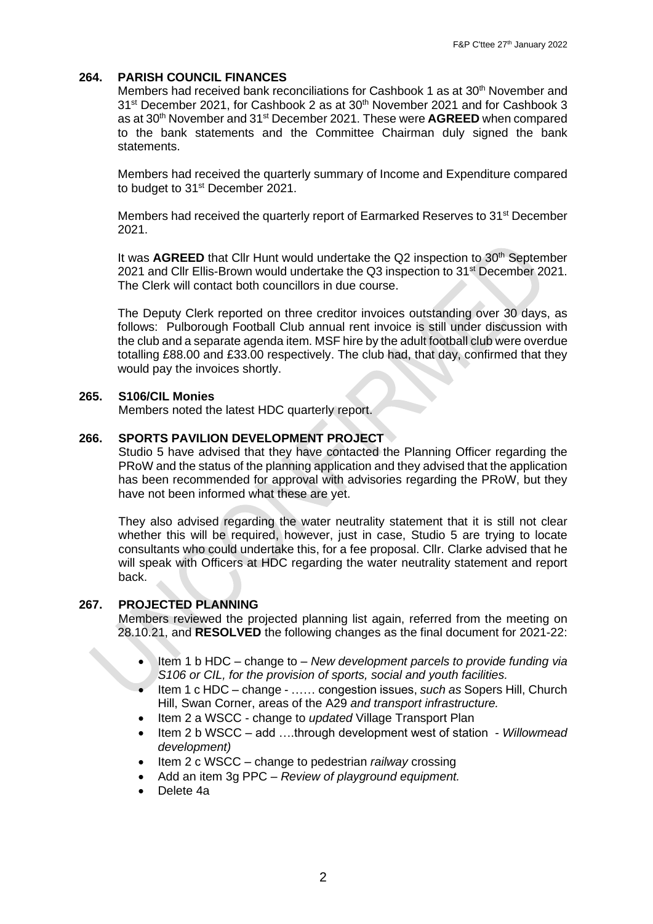# **264. PARISH COUNCIL FINANCES**

Members had received bank reconciliations for Cashbook 1 as at 30<sup>th</sup> November and 31<sup>st</sup> December 2021, for Cashbook 2 as at 30<sup>th</sup> November 2021 and for Cashbook 3 as at 30<sup>th</sup> November and 31<sup>st</sup> December 2021. These were **AGREED** when compared to the bank statements and the Committee Chairman duly signed the bank statements.

Members had received the quarterly summary of Income and Expenditure compared to budget to 31<sup>st</sup> December 2021.

Members had received the quarterly report of Earmarked Reserves to 31<sup>st</sup> December 2021.

It was **AGREED** that Cllr Hunt would undertake the Q2 inspection to 30<sup>th</sup> September 2021 and Cllr Ellis-Brown would undertake the Q3 inspection to 31<sup>st</sup> December 2021. The Clerk will contact both councillors in due course.

The Deputy Clerk reported on three creditor invoices outstanding over 30 days, as follows: Pulborough Football Club annual rent invoice is still under discussion with the club and a separate agenda item. MSF hire by the adult football club were overdue totalling £88.00 and £33.00 respectively. The club had, that day, confirmed that they would pay the invoices shortly.

# **265. S106/CIL Monies**

Members noted the latest HDC quarterly report.

# **266. SPORTS PAVILION DEVELOPMENT PROJECT**

Studio 5 have advised that they have contacted the Planning Officer regarding the PRoW and the status of the planning application and they advised that the application has been recommended for approval with advisories regarding the PRoW, but they have not been informed what these are yet.

They also advised regarding the water neutrality statement that it is still not clear whether this will be required, however, just in case. Studio 5 are trying to locate consultants who could undertake this, for a fee proposal. Cllr. Clarke advised that he will speak with Officers at HDC regarding the water neutrality statement and report back.

#### **267. PROJECTED PLANNING**

Members reviewed the projected planning list again, referred from the meeting on 28.10.21, and **RESOLVED** the following changes as the final document for 2021-22:

- Item 1 b HDC change to *New development parcels to provide funding via S106 or CIL, for the provision of sports, social and youth facilities.*
- Item 1 c HDC change …… congestion issues, *such as* Sopers Hill, Church Hill, Swan Corner, areas of the A29 *and transport infrastructure.*
- Item 2 a WSCC change to *updated* Village Transport Plan
- Item 2 b WSCC add ….through development west of station *- Willowmead development)*
- Item 2 c WSCC change to pedestrian *railway* crossing
- Add an item 3g PPC *Review of playground equipment.*
- Delete 4a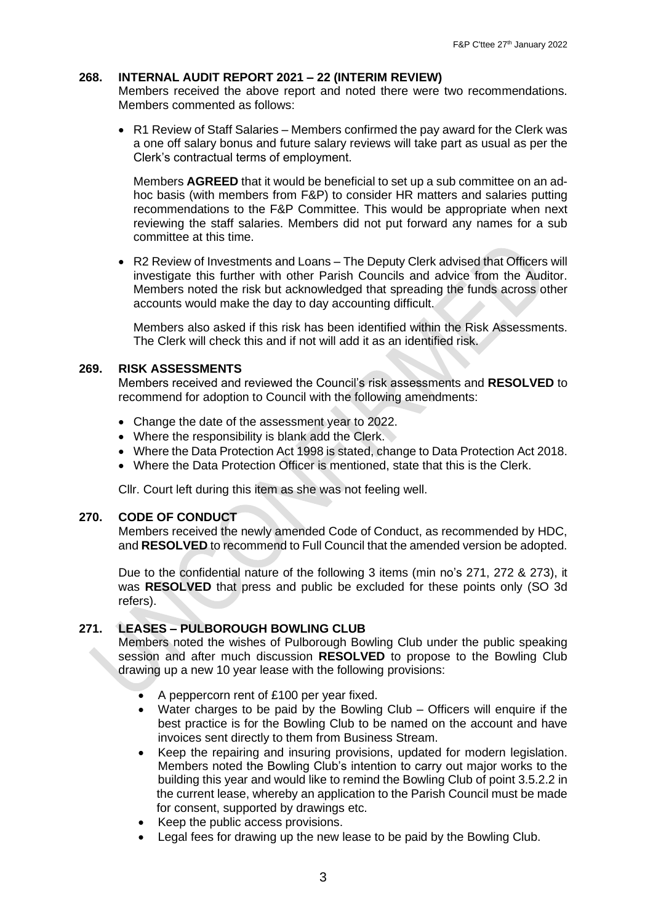#### **268. INTERNAL AUDIT REPORT 2021 – 22 (INTERIM REVIEW)**

Members received the above report and noted there were two recommendations. Members commented as follows:

• R1 Review of Staff Salaries – Members confirmed the pay award for the Clerk was a one off salary bonus and future salary reviews will take part as usual as per the Clerk's contractual terms of employment.

Members **AGREED** that it would be beneficial to set up a sub committee on an adhoc basis (with members from F&P) to consider HR matters and salaries putting recommendations to the F&P Committee. This would be appropriate when next reviewing the staff salaries. Members did not put forward any names for a sub committee at this time.

• R2 Review of Investments and Loans – The Deputy Clerk advised that Officers will investigate this further with other Parish Councils and advice from the Auditor. Members noted the risk but acknowledged that spreading the funds across other accounts would make the day to day accounting difficult.

Members also asked if this risk has been identified within the Risk Assessments. The Clerk will check this and if not will add it as an identified risk.

#### **269. RISK ASSESSMENTS**

Members received and reviewed the Council's risk assessments and **RESOLVED** to recommend for adoption to Council with the following amendments:

- Change the date of the assessment year to 2022.
- Where the responsibility is blank add the Clerk.
- Where the Data Protection Act 1998 is stated, change to Data Protection Act 2018.
- Where the Data Protection Officer is mentioned, state that this is the Clerk.

Cllr. Court left during this item as she was not feeling well.

#### **270. CODE OF CONDUCT**

Members received the newly amended Code of Conduct, as recommended by HDC, and **RESOLVED** to recommend to Full Council that the amended version be adopted.

Due to the confidential nature of the following 3 items (min no's 271, 272 & 273), it was **RESOLVED** that press and public be excluded for these points only (SO 3d refers).

# **271. LEASES – PULBOROUGH BOWLING CLUB**

Members noted the wishes of Pulborough Bowling Club under the public speaking session and after much discussion **RESOLVED** to propose to the Bowling Club drawing up a new 10 year lease with the following provisions:

- A peppercorn rent of £100 per year fixed.
- Water charges to be paid by the Bowling Club Officers will enquire if the best practice is for the Bowling Club to be named on the account and have invoices sent directly to them from Business Stream.
- Keep the repairing and insuring provisions, updated for modern legislation. Members noted the Bowling Club's intention to carry out major works to the building this year and would like to remind the Bowling Club of point 3.5.2.2 in the current lease, whereby an application to the Parish Council must be made for consent, supported by drawings etc.
- Keep the public access provisions.
- Legal fees for drawing up the new lease to be paid by the Bowling Club.